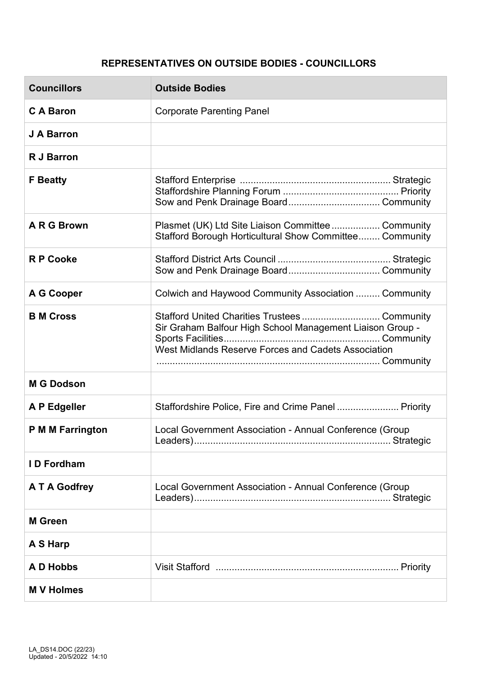## **REPRESENTATIVES ON OUTSIDE BODIES - COUNCILLORS**

| <b>Councillors</b> | <b>Outside Bodies</b>                                                                                                                                            |
|--------------------|------------------------------------------------------------------------------------------------------------------------------------------------------------------|
| <b>CA Baron</b>    | <b>Corporate Parenting Panel</b>                                                                                                                                 |
| J A Barron         |                                                                                                                                                                  |
| <b>R J Barron</b>  |                                                                                                                                                                  |
| <b>F</b> Beatty    |                                                                                                                                                                  |
| A R G Brown        | Plasmet (UK) Ltd Site Liaison Committee Community<br>Stafford Borough Horticultural Show Committee Community                                                     |
| <b>R P Cooke</b>   | Sow and Penk Drainage Board Community                                                                                                                            |
| A G Cooper         | Colwich and Haywood Community Association  Community                                                                                                             |
| <b>B</b> M Cross   | Stafford United Charities Trustees Community<br>Sir Graham Balfour High School Management Liaison Group -<br>West Midlands Reserve Forces and Cadets Association |
| <b>M G Dodson</b>  |                                                                                                                                                                  |
| A P Edgeller       | Staffordshire Police, Fire and Crime Panel Priority                                                                                                              |
| P M M Farrington   | Local Government Association - Annual Conference (Group                                                                                                          |
| <b>ID Fordham</b>  |                                                                                                                                                                  |
| A T A Godfrey      | Local Government Association - Annual Conference (Group                                                                                                          |
| <b>M</b> Green     |                                                                                                                                                                  |
| A S Harp           |                                                                                                                                                                  |
| A D Hobbs          |                                                                                                                                                                  |
| <b>MV</b> Holmes   |                                                                                                                                                                  |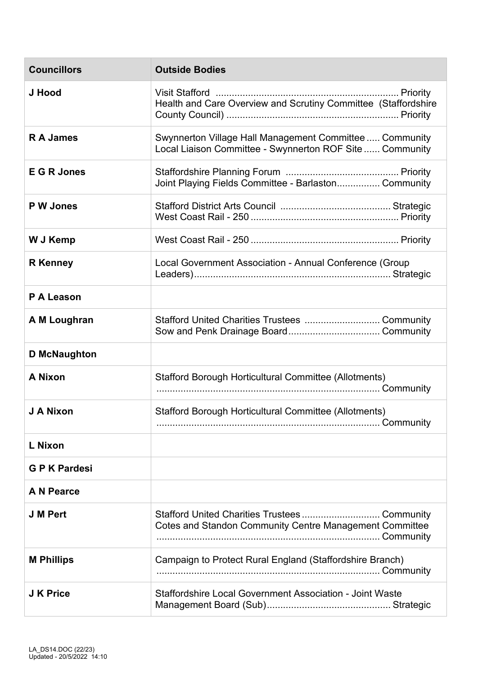| <b>Councillors</b>  | <b>Outside Bodies</b>                                                                                              |
|---------------------|--------------------------------------------------------------------------------------------------------------------|
| J Hood              | Health and Care Overview and Scrutiny Committee (Staffordshire                                                     |
| <b>RA James</b>     | Swynnerton Village Hall Management Committee Community<br>Local Liaison Committee - Swynnerton ROF Site  Community |
| <b>E G R Jones</b>  | Joint Playing Fields Committee - Barlaston Community                                                               |
| P W Jones           |                                                                                                                    |
| W J Kemp            |                                                                                                                    |
| <b>R</b> Kenney     | Local Government Association - Annual Conference (Group                                                            |
| P A Leason          |                                                                                                                    |
| A M Loughran        | Stafford United Charities Trustees  Community                                                                      |
| <b>D</b> McNaughton |                                                                                                                    |
| <b>A Nixon</b>      | Stafford Borough Horticultural Committee (Allotments)                                                              |
| J A Nixon           | Stafford Borough Horticultural Committee (Allotments)                                                              |
| L Nixon             |                                                                                                                    |
| <b>GPK Pardesi</b>  |                                                                                                                    |
| A N Pearce          |                                                                                                                    |
| <b>J M Pert</b>     | Stafford United Charities Trustees  Community<br><b>Cotes and Standon Community Centre Management Committee</b>    |
| <b>M Phillips</b>   | Campaign to Protect Rural England (Staffordshire Branch)                                                           |
| <b>J K Price</b>    | Staffordshire Local Government Association - Joint Waste                                                           |